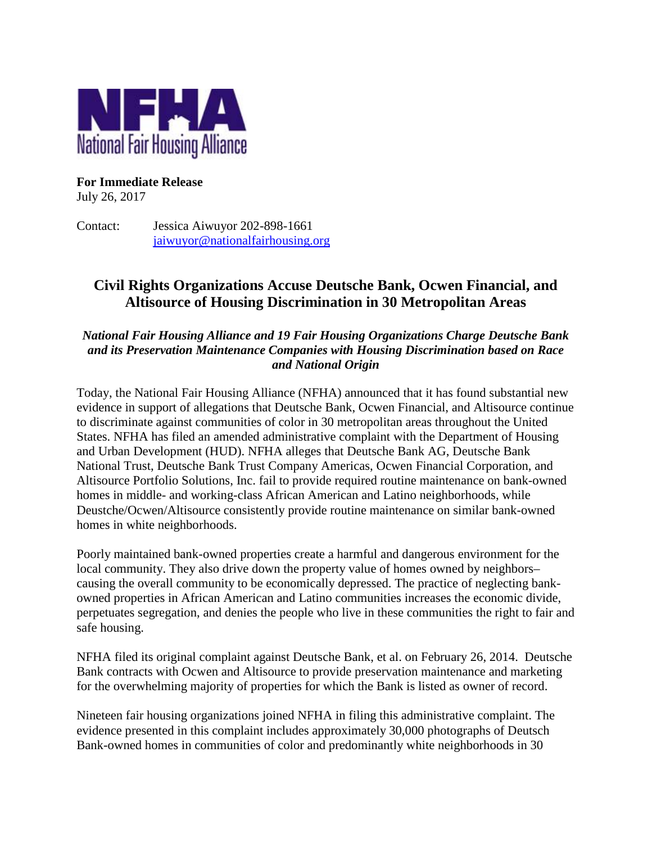

## **For Immediate Release**

July 26, 2017

Contact: Jessica Aiwuyor 202-898-1661 [jaiwuyor@nationalfairhousing.org](mailto:jaiwuyor@nationalfairhousing.org)

# **Civil Rights Organizations Accuse Deutsche Bank, Ocwen Financial, and Altisource of Housing Discrimination in 30 Metropolitan Areas**

### *National Fair Housing Alliance and 19 Fair Housing Organizations Charge Deutsche Bank and its Preservation Maintenance Companies with Housing Discrimination based on Race and National Origin*

Today, the National Fair Housing Alliance (NFHA) announced that it has found substantial new evidence in support of allegations that Deutsche Bank, Ocwen Financial, and Altisource continue to discriminate against communities of color in 30 metropolitan areas throughout the United States. NFHA has filed an amended administrative complaint with the Department of Housing and Urban Development (HUD). NFHA alleges that Deutsche Bank AG, Deutsche Bank National Trust, Deutsche Bank Trust Company Americas, Ocwen Financial Corporation, and Altisource Portfolio Solutions, Inc. fail to provide required routine maintenance on bank-owned homes in middle- and working-class African American and Latino neighborhoods, while Deustche/Ocwen/Altisource consistently provide routine maintenance on similar bank-owned homes in white neighborhoods.

Poorly maintained bank-owned properties create a harmful and dangerous environment for the local community. They also drive down the property value of homes owned by neighbors– causing the overall community to be economically depressed. The practice of neglecting bankowned properties in African American and Latino communities increases the economic divide, perpetuates segregation, and denies the people who live in these communities the right to fair and safe housing.

NFHA filed its original complaint against Deutsche Bank, et al. on February 26, 2014. Deutsche Bank contracts with Ocwen and Altisource to provide preservation maintenance and marketing for the overwhelming majority of properties for which the Bank is listed as owner of record.

Nineteen fair housing organizations joined NFHA in filing this administrative complaint. The evidence presented in this complaint includes approximately 30,000 photographs of Deutsch Bank-owned homes in communities of color and predominantly white neighborhoods in 30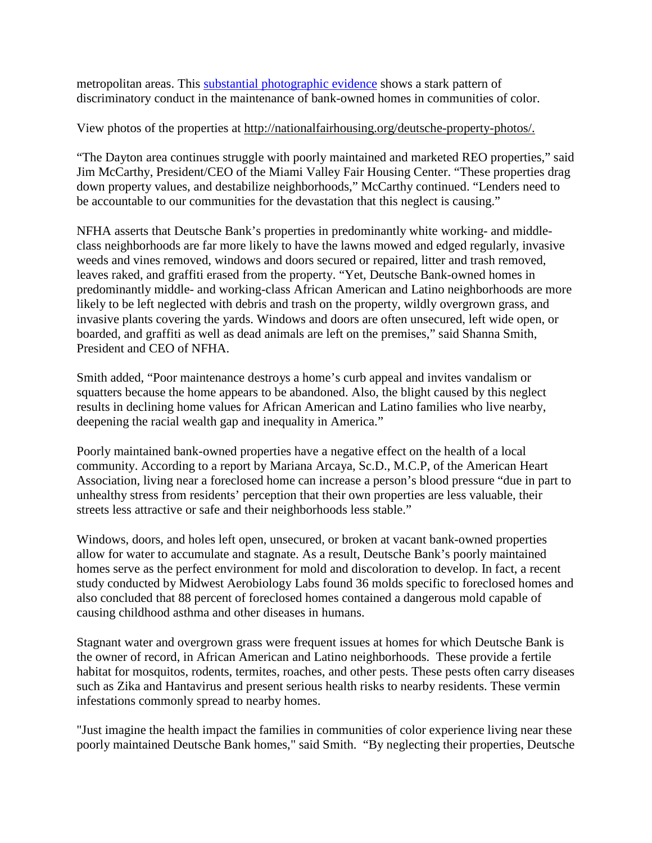metropolitan areas. This [substantial photographic evidence](http://nationalfairhousing.org/deutsche-property-photos/) shows a stark pattern of discriminatory conduct in the maintenance of bank-owned homes in communities of color.

View photos of the properties at [http://nationalfairhousing.org/deutsche-property-photos/.](http://nationalfairhousing.org/?page_id=1056&preview=true)

"The Dayton area continues struggle with poorly maintained and marketed REO properties," said Jim McCarthy, President/CEO of the Miami Valley Fair Housing Center. "These properties drag down property values, and destabilize neighborhoods," McCarthy continued. "Lenders need to be accountable to our communities for the devastation that this neglect is causing."

NFHA asserts that Deutsche Bank's properties in predominantly white working- and middleclass neighborhoods are far more likely to have the lawns mowed and edged regularly, invasive weeds and vines removed, windows and doors secured or repaired, litter and trash removed, leaves raked, and graffiti erased from the property. "Yet, Deutsche Bank-owned homes in predominantly middle- and working-class African American and Latino neighborhoods are more likely to be left neglected with debris and trash on the property, wildly overgrown grass, and invasive plants covering the yards. Windows and doors are often unsecured, left wide open, or boarded, and graffiti as well as dead animals are left on the premises," said Shanna Smith, President and CEO of NFHA.

Smith added, "Poor maintenance destroys a home's curb appeal and invites vandalism or squatters because the home appears to be abandoned. Also, the blight caused by this neglect results in declining home values for African American and Latino families who live nearby, deepening the racial wealth gap and inequality in America."

Poorly maintained bank-owned properties have a negative effect on the health of a local community. According to a report by Mariana Arcaya, Sc.D., M.C.P, of the American Heart Association, living near a foreclosed home can increase a person's blood pressure "due in part to unhealthy stress from residents' perception that their own properties are less valuable, their streets less attractive or safe and their neighborhoods less stable."

Windows, doors, and holes left open, unsecured, or broken at vacant bank-owned properties allow for water to accumulate and stagnate. As a result, Deutsche Bank's poorly maintained homes serve as the perfect environment for mold and discoloration to develop. In fact, a recent study conducted by Midwest Aerobiology Labs found 36 molds specific to foreclosed homes and also concluded that 88 percent of foreclosed homes contained a dangerous mold capable of causing childhood asthma and other diseases in humans.

Stagnant water and overgrown grass were frequent issues at homes for which Deutsche Bank is the owner of record, in African American and Latino neighborhoods. These provide a fertile habitat for mosquitos, rodents, termites, roaches, and other pests. These pests often carry diseases such as Zika and Hantavirus and present serious health risks to nearby residents. These vermin infestations commonly spread to nearby homes.

"Just imagine the health impact the families in communities of color experience living near these poorly maintained Deutsche Bank homes," said Smith. "By neglecting their properties, Deutsche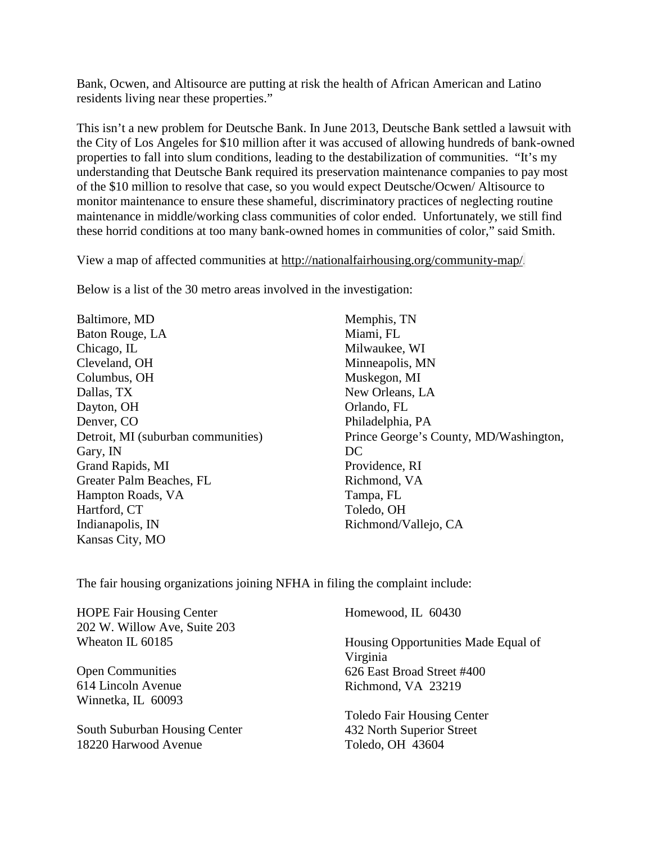Bank, Ocwen, and Altisource are putting at risk the health of African American and Latino residents living near these properties."

This isn't a new problem for Deutsche Bank. In June 2013, Deutsche Bank settled a lawsuit with the City of Los Angeles for \$10 million after it was accused of allowing hundreds of bank-owned properties to fall into slum conditions, leading to the destabilization of communities. "It's my understanding that Deutsche Bank required its preservation maintenance companies to pay most of the \$10 million to resolve that case, so you would expect Deutsche/Ocwen/ Altisource to monitor maintenance to ensure these shameful, discriminatory practices of neglecting routine maintenance in middle/working class communities of color ended. Unfortunately, we still find these horrid conditions at too many bank-owned homes in communities of color," said Smith.

View a map of affected communities at http://nationalfairhousing.org/community-map/.

Below is a list of the 30 metro areas involved in the investigation:

Baltimore, MD Baton Rouge, LA Chicago, IL Cleveland, OH Columbus, OH Dallas, TX Dayton, OH Denver, CO Detroit, MI (suburban communities) Gary, IN Grand Rapids, MI Greater Palm Beaches, FL Hampton Roads, VA Hartford, CT Indianapolis, IN Kansas City, MO

Memphis, TN Miami, FL Milwaukee, WI Minneapolis, MN Muskegon, MI New Orleans, LA Orlando, FL Philadelphia, PA Prince George's County, MD/Washington, DC Providence, RI Richmond, VA Tampa, FL Toledo, OH Richmond/Vallejo, CA

The fair housing organizations joining NFHA in filing the complaint include:

| <b>HOPE Fair Housing Center</b><br>202 W. Willow Ave, Suite 203 | Homewood, IL 60430                              |
|-----------------------------------------------------------------|-------------------------------------------------|
| Wheaton IL 60185                                                | Housing Opportunities Made Equal of<br>Virginia |
| <b>Open Communities</b>                                         | 626 East Broad Street #400                      |
| 614 Lincoln Avenue                                              | Richmond, VA 23219                              |
| Winnetka, IL 60093                                              |                                                 |
|                                                                 | <b>Toledo Fair Housing Center</b>               |
| South Suburban Housing Center                                   | 432 North Superior Street                       |
| 18220 Harwood Avenue                                            | Toledo, OH 43604                                |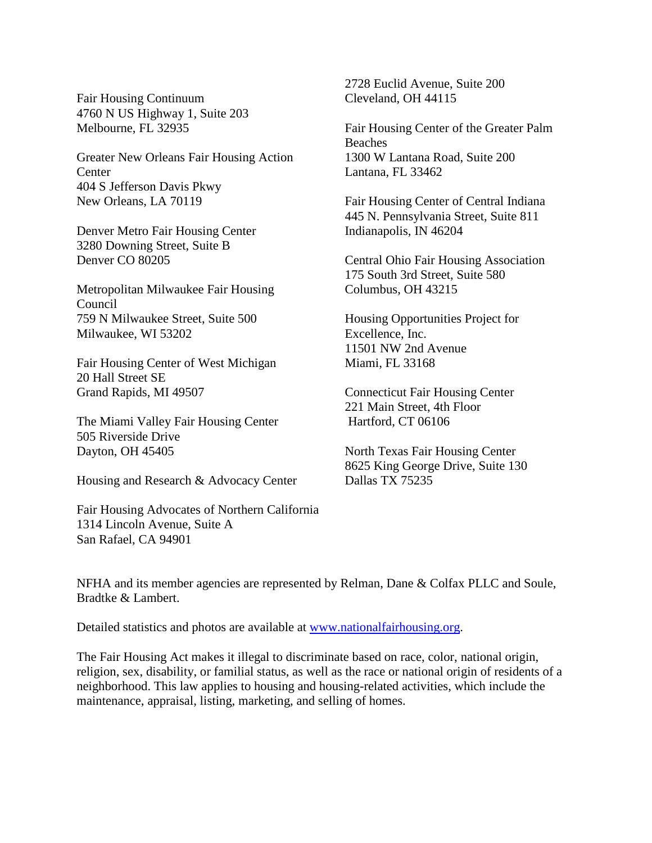Fair Housing Continuum 4760 N US Highway 1, Suite 203 Melbourne, FL 32935

Greater New Orleans Fair Housing Action **Center** 404 S Jefferson Davis Pkwy New Orleans, LA 70119

Denver Metro Fair Housing Center 3280 Downing Street, Suite B Denver CO 80205

Metropolitan Milwaukee Fair Housing Council 759 N Milwaukee Street, Suite 500 Milwaukee, WI 53202

Fair Housing Center of West Michigan 20 Hall Street SE Grand Rapids, MI 49507

The Miami Valley Fair Housing Center 505 Riverside Drive Dayton, OH 45405

Housing and Research & Advocacy Center

Fair Housing Advocates of Northern California 1314 Lincoln Avenue, Suite A San Rafael, CA 94901

2728 Euclid Avenue, Suite 200 Cleveland, OH 44115

Fair Housing Center of the Greater Palm Beaches 1300 W Lantana Road, Suite 200 Lantana, FL 33462

Fair Housing Center of Central Indiana 445 N. Pennsylvania Street, Suite 811 Indianapolis, IN 46204

Central Ohio Fair Housing Association 175 South 3rd Street, Suite 580 Columbus, OH 43215

Housing Opportunities Project for Excellence, Inc. 11501 NW 2nd Avenue Miami, FL 33168

Connecticut Fair Housing Center 221 Main Street, 4th Floor Hartford, CT 06106

North Texas Fair Housing Center 8625 King George Drive, Suite 130 Dallas TX 75235

NFHA and its member agencies are represented by Relman, Dane & Colfax PLLC and Soule, Bradtke & Lambert.

Detailed statistics and photos are available at [www.nationalfairhousing.org.](http://www.nationalfairhousing.org/)

The Fair Housing Act makes it illegal to discriminate based on race, color, national origin, religion, sex, disability, or familial status, as well as the race or national origin of residents of a neighborhood. This law applies to housing and housing-related activities, which include the maintenance, appraisal, listing, marketing, and selling of homes.